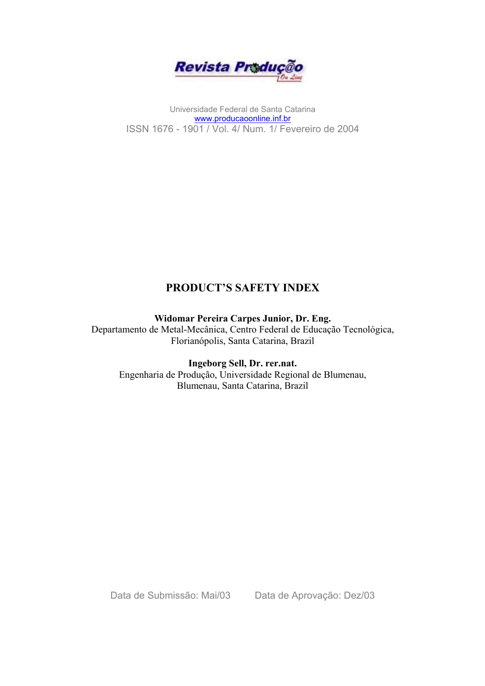

Universidade Federal de Santa Catarina [www.producaoonline.inf.br](http://www.producaoonline.inf.br/) ISSN 1676 - 1901 / Vol. 4/ Num. 1/ Fevereiro de 2004

# **PRODUCT'S SAFETY INDEX**

### **Widomar Pereira Carpes Junior, Dr. Eng.**

Departamento de Metal-Mecânica, Centro Federal de Educação Tecnológica, Florianópolis, Santa Catarina, Brazil

**Ingeborg Sell, Dr. rer.nat.**  Engenharia de Produção, Universidade Regional de Blumenau, Blumenau, Santa Catarina, Brazil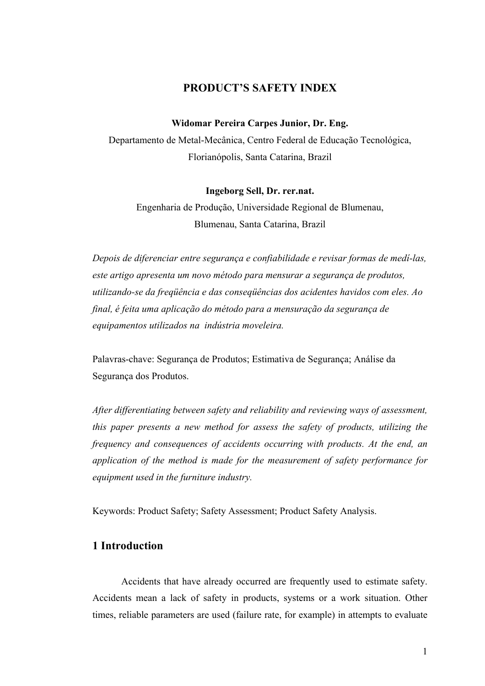## **PRODUCT'S SAFETY INDEX**

#### **Widomar Pereira Carpes Junior, Dr. Eng.**

Departamento de Metal-Mecânica, Centro Federal de Educação Tecnológica, Florianópolis, Santa Catarina, Brazil

#### **Ingeborg Sell, Dr. rer.nat.**

Engenharia de Produção, Universidade Regional de Blumenau, Blumenau, Santa Catarina, Brazil

*Depois de diferenciar entre segurança e confiabilidade e revisar formas de medí-las, este artigo apresenta um novo método para mensurar a segurança de produtos, utilizando-se da freqüência e das conseqüências dos acidentes havidos com eles. Ao final, é feita uma aplicação do método para a mensuração da segurança de equipamentos utilizados na indústria moveleira.* 

Palavras-chave: Segurança de Produtos; Estimativa de Segurança; Análise da Segurança dos Produtos.

*After differentiating between safety and reliability and reviewing ways of assessment, this paper presents a new method for assess the safety of products, utilizing the frequency and consequences of accidents occurring with products. At the end, an application of the method is made for the measurement of safety performance for equipment used in the furniture industry.* 

Keywords: Product Safety; Safety Assessment; Product Safety Analysis.

### **1 Introduction**

Accidents that have already occurred are frequently used to estimate safety. Accidents mean a lack of safety in products, systems or a work situation. Other times, reliable parameters are used (failure rate, for example) in attempts to evaluate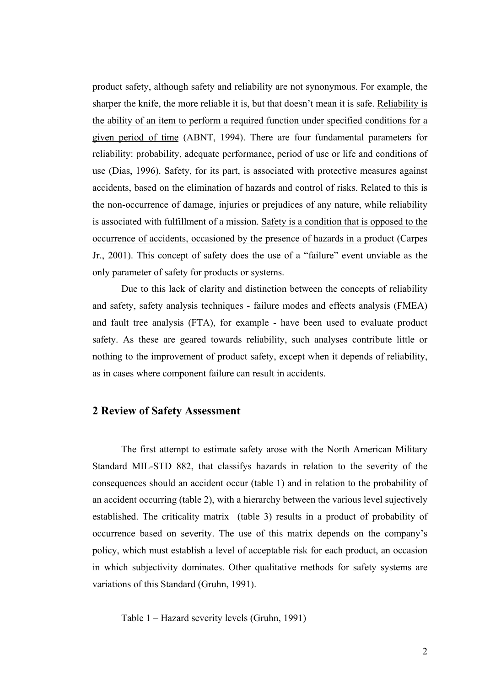product safety, although safety and reliability are not synonymous. For example, the sharper the knife, the more reliable it is, but that doesn't mean it is safe. Reliability is the ability of an item to perform a required function under specified conditions for a given period of time (ABNT, 1994). There are four fundamental parameters for reliability: probability, adequate performance, period of use or life and conditions of use (Dias, 1996). Safety, for its part, is associated with protective measures against accidents, based on the elimination of hazards and control of risks. Related to this is the non-occurrence of damage, injuries or prejudices of any nature, while reliability is associated with fulfillment of a mission. Safety is a condition that is opposed to the occurrence of accidents, occasioned by the presence of hazards in a product (Carpes Jr., 2001). This concept of safety does the use of a "failure" event unviable as the only parameter of safety for products or systems.

Due to this lack of clarity and distinction between the concepts of reliability and safety, safety analysis techniques - failure modes and effects analysis (FMEA) and fault tree analysis (FTA), for example - have been used to evaluate product safety. As these are geared towards reliability, such analyses contribute little or nothing to the improvement of product safety, except when it depends of reliability, as in cases where component failure can result in accidents.

### **2 Review of Safety Assessment**

The first attempt to estimate safety arose with the North American Military Standard MIL-STD 882, that classifys hazards in relation to the severity of the consequences should an accident occur (table 1) and in relation to the probability of an accident occurring (table 2), with a hierarchy between the various level sujectively established. The criticality matrix (table 3) results in a product of probability of occurrence based on severity. The use of this matrix depends on the company's policy, which must establish a level of acceptable risk for each product, an occasion in which subjectivity dominates. Other qualitative methods for safety systems are variations of this Standard (Gruhn, 1991).

Table 1 – Hazard severity levels (Gruhn, 1991)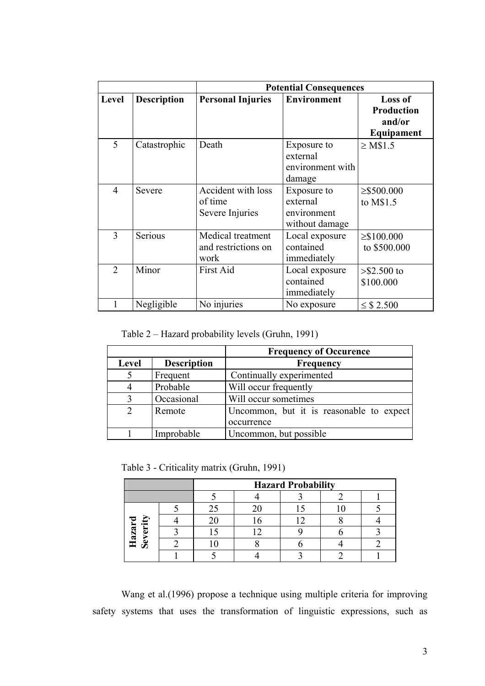|       |                    | <b>Potential Consequences</b>                    |                                                          |                                                             |  |  |
|-------|--------------------|--------------------------------------------------|----------------------------------------------------------|-------------------------------------------------------------|--|--|
| Level | <b>Description</b> | <b>Personal Injuries</b>                         | <b>Environment</b>                                       | <b>Loss of</b><br><b>Production</b><br>and/or<br>Equipament |  |  |
| 5     | Catastrophic       | Death                                            | Exposure to<br>external<br>environment with<br>damage    | $\geq$ M\$1.5                                               |  |  |
| 4     | Severe             | Accident with loss<br>of time<br>Severe Injuries | Exposure to<br>external<br>environment<br>without damage | $\geq$ \$500.000<br>to M\$1.5                               |  |  |
| 3     | Serious            | Medical treatment<br>and restrictions on<br>work | Local exposure<br>contained<br>immediately               | $\geq$ \$100.000<br>to \$500.000                            |  |  |
| 2     | Minor              | First Aid                                        | Local exposure<br>contained<br>immediately               | $>$ \$2.500 to<br>\$100.000                                 |  |  |
|       | Negligible         | No injuries                                      | No exposure                                              | $\leq$ \$ 2.500                                             |  |  |

Table 2 – Hazard probability levels (Gruhn, 1991)

|       |                    | <b>Frequency of Occurence</b>            |  |  |  |
|-------|--------------------|------------------------------------------|--|--|--|
| Level | <b>Description</b> | <b>Frequency</b>                         |  |  |  |
|       | Frequent           | Continually experimented                 |  |  |  |
|       | Probable           | Will occur frequently                    |  |  |  |
|       | Occasional         | Will occur sometimes                     |  |  |  |
| 2     | Remote             | Uncommon, but it is reasonable to expect |  |  |  |
|       |                    | occurrence                               |  |  |  |
|       | Improbable         | Uncommon, but possible                   |  |  |  |

Table 3 - Criticality matrix (Gruhn, 1991)

|                          | <b>Hazard Probability</b> |  |  |  |  |  |
|--------------------------|---------------------------|--|--|--|--|--|
|                          |                           |  |  |  |  |  |
|                          |                           |  |  |  |  |  |
|                          |                           |  |  |  |  |  |
| <b>lazard</b><br>everity |                           |  |  |  |  |  |
| చ                        |                           |  |  |  |  |  |
|                          |                           |  |  |  |  |  |

Wang et al.(1996) propose a technique using multiple criteria for improving safety systems that uses the transformation of linguistic expressions, such as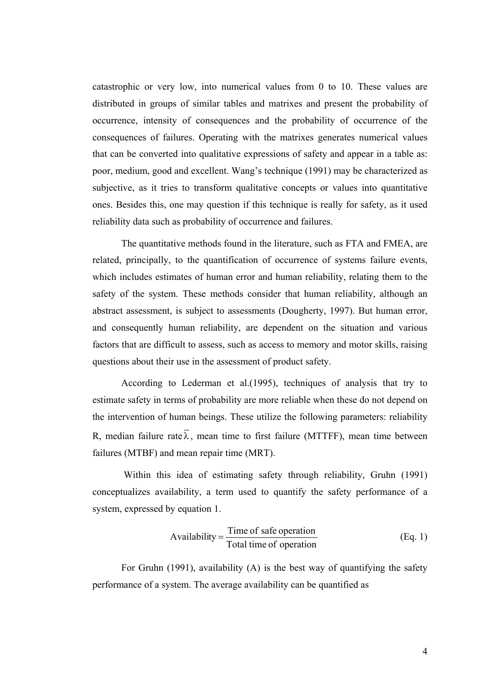catastrophic or very low, into numerical values from 0 to 10. These values are distributed in groups of similar tables and matrixes and present the probability of occurrence, intensity of consequences and the probability of occurrence of the consequences of failures. Operating with the matrixes generates numerical values that can be converted into qualitative expressions of safety and appear in a table as: poor, medium, good and excellent. Wang's technique (1991) may be characterized as subjective, as it tries to transform qualitative concepts or values into quantitative ones. Besides this, one may question if this technique is really for safety, as it used reliability data such as probability of occurrence and failures.

The quantitative methods found in the literature, such as FTA and FMEA, are related, principally, to the quantification of occurrence of systems failure events, which includes estimates of human error and human reliability, relating them to the safety of the system. These methods consider that human reliability, although an abstract assessment, is subject to assessments (Dougherty, 1997). But human error, and consequently human reliability, are dependent on the situation and various factors that are difficult to assess, such as access to memory and motor skills, raising questions about their use in the assessment of product safety.

 According to Lederman et al.(1995), techniques of analysis that try to estimate safety in terms of probability are more reliable when these do not depend on the intervention of human beings. These utilize the following parameters: reliability R, median failure rate $\overline{\lambda}$ , mean time to first failure (MTTFF), mean time between failures (MTBF) and mean repair time (MRT).

Within this idea of estimating safety through reliability, Gruhn (1991) conceptualizes availability, a term used to quantify the safety performance of a system, expressed by equation 1.

$$
Availableility = \frac{Time \space of \space safe \space operation}{Total \space time \space of \space operation} \tag{Eq. 1}
$$

For Gruhn (1991), availability (A) is the best way of quantifying the safety performance of a system. The average availability can be quantified as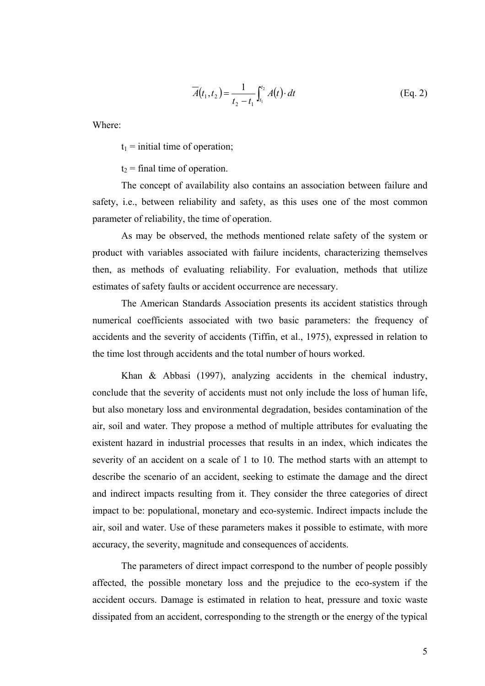$$
\overline{A}(t_1, t_2) = \frac{1}{t_2 - t_1} \int_{t_1}^{t_2} A(t) \cdot dt
$$
 (Eq. 2)

Where:

 $t_1$  = initial time of operation;

 $t_2$  = final time of operation.

The concept of availability also contains an association between failure and safety, i.e., between reliability and safety, as this uses one of the most common parameter of reliability, the time of operation.

As may be observed, the methods mentioned relate safety of the system or product with variables associated with failure incidents, characterizing themselves then, as methods of evaluating reliability. For evaluation, methods that utilize estimates of safety faults or accident occurrence are necessary.

The American Standards Association presents its accident statistics through numerical coefficients associated with two basic parameters: the frequency of accidents and the severity of accidents (Tiffin, et al., 1975), expressed in relation to the time lost through accidents and the total number of hours worked.

Khan & Abbasi (1997), analyzing accidents in the chemical industry, conclude that the severity of accidents must not only include the loss of human life, but also monetary loss and environmental degradation, besides contamination of the air, soil and water. They propose a method of multiple attributes for evaluating the existent hazard in industrial processes that results in an index, which indicates the severity of an accident on a scale of 1 to 10. The method starts with an attempt to describe the scenario of an accident, seeking to estimate the damage and the direct and indirect impacts resulting from it. They consider the three categories of direct impact to be: populational, monetary and eco-systemic. Indirect impacts include the air, soil and water. Use of these parameters makes it possible to estimate, with more accuracy, the severity, magnitude and consequences of accidents.

The parameters of direct impact correspond to the number of people possibly affected, the possible monetary loss and the prejudice to the eco-system if the accident occurs. Damage is estimated in relation to heat, pressure and toxic waste dissipated from an accident, corresponding to the strength or the energy of the typical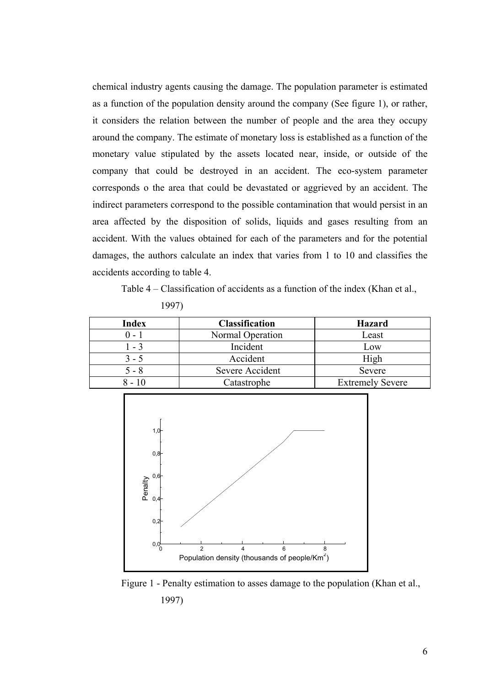chemical industry agents causing the damage. The population parameter is estimated as a function of the population density around the company (See figure 1), or rather, it considers the relation between the number of people and the area they occupy around the company. The estimate of monetary loss is established as a function of the monetary value stipulated by the assets located near, inside, or outside of the company that could be destroyed in an accident. The eco-system parameter corresponds o the area that could be devastated or aggrieved by an accident. The indirect parameters correspond to the possible contamination that would persist in an area affected by the disposition of solids, liquids and gases resulting from an accident. With the values obtained for each of the parameters and for the potential damages, the authors calculate an index that varies from 1 to 10 and classifies the accidents according to table 4.

Table 4 – Classification of accidents as a function of the index (Khan et al.,

| Index   | <b>Classification</b> | <b>Hazard</b>           |
|---------|-----------------------|-------------------------|
| () - 1  | Normal Operation      | Least                   |
| $1 - 3$ | Incident              | Low                     |
| $3 - 5$ | Accident              | High                    |
| 5 - 8   | Severe Accident       | Severe                  |
|         | Catastrophe           | <b>Extremely Severe</b> |

1997)



Figure 1 - Penalty estimation to asses damage to the population (Khan et al., 1997)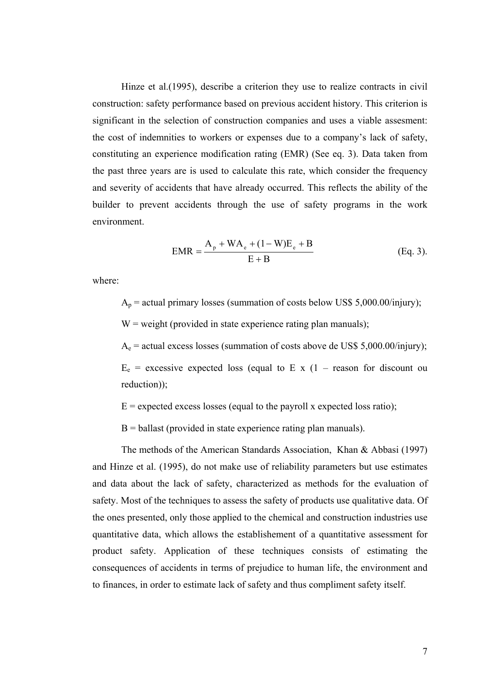Hinze et al.(1995), describe a criterion they use to realize contracts in civil construction: safety performance based on previous accident history. This criterion is significant in the selection of construction companies and uses a viable assesment: the cost of indemnities to workers or expenses due to a company's lack of safety, constituting an experience modification rating (EMR) (See eq. 3). Data taken from the past three years are is used to calculate this rate, which consider the frequency and severity of accidents that have already occurred. This reflects the ability of the builder to prevent accidents through the use of safety programs in the work environment.

$$
EMR = \frac{A_p + WA_e + (1 - W)E_e + B}{E + B}
$$
 (Eq. 3).

where:

 $A_p$  = actual primary losses (summation of costs below US\$ 5,000.00/injury);

 $W = weight$  (provided in state experience rating plan manuals);

 $A_e$  = actual excess losses (summation of costs above de US\$ 5,000.00/injury);

 $E_e$  = excessive expected loss (equal to E x (1 – reason for discount ou reduction));

 $E =$  expected excess losses (equal to the payroll x expected loss ratio);

 $B =$  ballast (provided in state experience rating plan manuals).

The methods of the American Standards Association, Khan & Abbasi (1997) and Hinze et al. (1995), do not make use of reliability parameters but use estimates and data about the lack of safety, characterized as methods for the evaluation of safety. Most of the techniques to assess the safety of products use qualitative data. Of the ones presented, only those applied to the chemical and construction industries use quantitative data, which allows the establishement of a quantitative assessment for product safety. Application of these techniques consists of estimating the consequences of accidents in terms of prejudice to human life, the environment and to finances, in order to estimate lack of safety and thus compliment safety itself.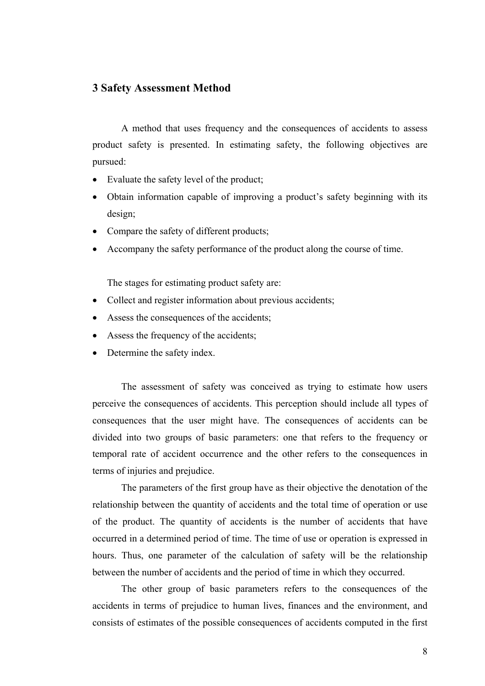### **3 Safety Assessment Method**

A method that uses frequency and the consequences of accidents to assess product safety is presented. In estimating safety, the following objectives are pursued:

- Evaluate the safety level of the product;
- Obtain information capable of improving a product's safety beginning with its design;
- Compare the safety of different products;
- Accompany the safety performance of the product along the course of time.

The stages for estimating product safety are:

- Collect and register information about previous accidents;
- Assess the consequences of the accidents;
- Assess the frequency of the accidents;
- Determine the safety index.

The assessment of safety was conceived as trying to estimate how users perceive the consequences of accidents. This perception should include all types of consequences that the user might have. The consequences of accidents can be divided into two groups of basic parameters: one that refers to the frequency or temporal rate of accident occurrence and the other refers to the consequences in terms of injuries and prejudice.

The parameters of the first group have as their objective the denotation of the relationship between the quantity of accidents and the total time of operation or use of the product. The quantity of accidents is the number of accidents that have occurred in a determined period of time. The time of use or operation is expressed in hours. Thus, one parameter of the calculation of safety will be the relationship between the number of accidents and the period of time in which they occurred.

The other group of basic parameters refers to the consequences of the accidents in terms of prejudice to human lives, finances and the environment, and consists of estimates of the possible consequences of accidents computed in the first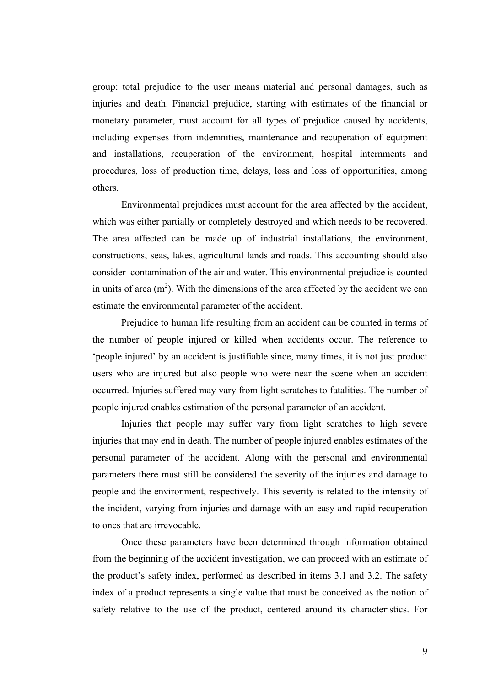group: total prejudice to the user means material and personal damages, such as injuries and death. Financial prejudice, starting with estimates of the financial or monetary parameter, must account for all types of prejudice caused by accidents, including expenses from indemnities, maintenance and recuperation of equipment and installations, recuperation of the environment, hospital internments and procedures, loss of production time, delays, loss and loss of opportunities, among others.

Environmental prejudices must account for the area affected by the accident, which was either partially or completely destroyed and which needs to be recovered. The area affected can be made up of industrial installations, the environment, constructions, seas, lakes, agricultural lands and roads. This accounting should also consider contamination of the air and water. This environmental prejudice is counted in units of area  $(m^2)$ . With the dimensions of the area affected by the accident we can estimate the environmental parameter of the accident.

Prejudice to human life resulting from an accident can be counted in terms of the number of people injured or killed when accidents occur. The reference to 'people injured' by an accident is justifiable since, many times, it is not just product users who are injured but also people who were near the scene when an accident occurred. Injuries suffered may vary from light scratches to fatalities. The number of people injured enables estimation of the personal parameter of an accident.

Injuries that people may suffer vary from light scratches to high severe injuries that may end in death. The number of people injured enables estimates of the personal parameter of the accident. Along with the personal and environmental parameters there must still be considered the severity of the injuries and damage to people and the environment, respectively. This severity is related to the intensity of the incident, varying from injuries and damage with an easy and rapid recuperation to ones that are irrevocable.

Once these parameters have been determined through information obtained from the beginning of the accident investigation, we can proceed with an estimate of the product's safety index, performed as described in items 3.1 and 3.2. The safety index of a product represents a single value that must be conceived as the notion of safety relative to the use of the product, centered around its characteristics. For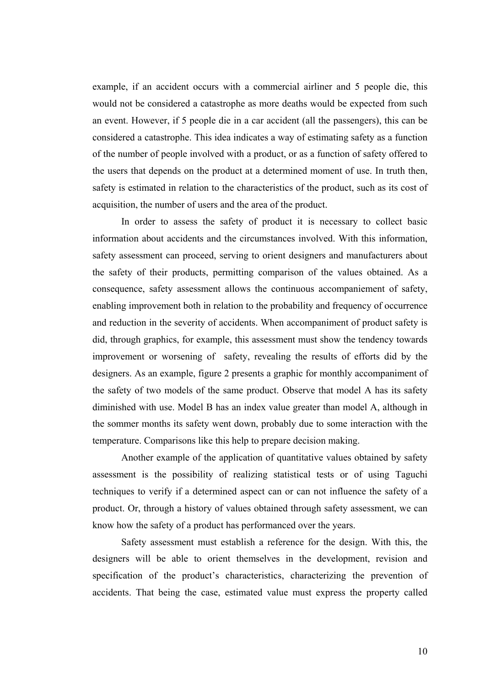example, if an accident occurs with a commercial airliner and 5 people die, this would not be considered a catastrophe as more deaths would be expected from such an event. However, if 5 people die in a car accident (all the passengers), this can be considered a catastrophe. This idea indicates a way of estimating safety as a function of the number of people involved with a product, or as a function of safety offered to the users that depends on the product at a determined moment of use. In truth then, safety is estimated in relation to the characteristics of the product, such as its cost of acquisition, the number of users and the area of the product.

In order to assess the safety of product it is necessary to collect basic information about accidents and the circumstances involved. With this information, safety assessment can proceed, serving to orient designers and manufacturers about the safety of their products, permitting comparison of the values obtained. As a consequence, safety assessment allows the continuous accompaniement of safety, enabling improvement both in relation to the probability and frequency of occurrence and reduction in the severity of accidents. When accompaniment of product safety is did, through graphics, for example, this assessment must show the tendency towards improvement or worsening of safety, revealing the results of efforts did by the designers. As an example, figure 2 presents a graphic for monthly accompaniment of the safety of two models of the same product. Observe that model A has its safety diminished with use. Model B has an index value greater than model A, although in the sommer months its safety went down, probably due to some interaction with the temperature. Comparisons like this help to prepare decision making.

Another example of the application of quantitative values obtained by safety assessment is the possibility of realizing statistical tests or of using Taguchi techniques to verify if a determined aspect can or can not influence the safety of a product. Or, through a history of values obtained through safety assessment, we can know how the safety of a product has performanced over the years.

Safety assessment must establish a reference for the design. With this, the designers will be able to orient themselves in the development, revision and specification of the product's characteristics, characterizing the prevention of accidents. That being the case, estimated value must express the property called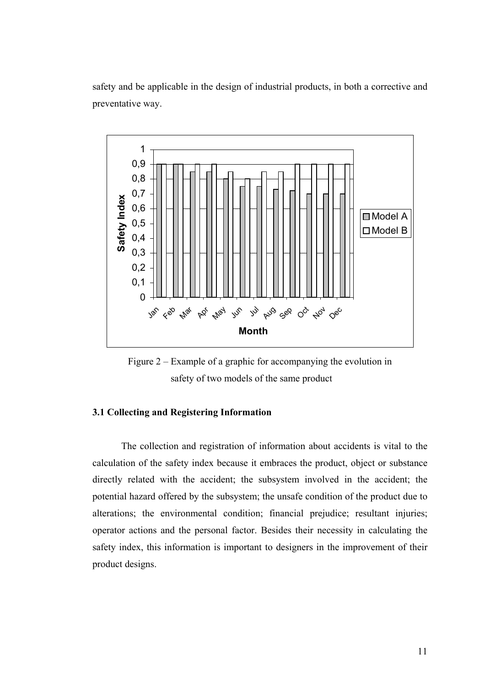safety and be applicable in the design of industrial products, in both a corrective and preventative way.



Figure 2 – Example of a graphic for accompanying the evolution in safety of two models of the same product

#### **3.1 Collecting and Registering Information**

The collection and registration of information about accidents is vital to the calculation of the safety index because it embraces the product, object or substance directly related with the accident; the subsystem involved in the accident; the potential hazard offered by the subsystem; the unsafe condition of the product due to alterations; the environmental condition; financial prejudice; resultant injuries; operator actions and the personal factor. Besides their necessity in calculating the safety index, this information is important to designers in the improvement of their product designs.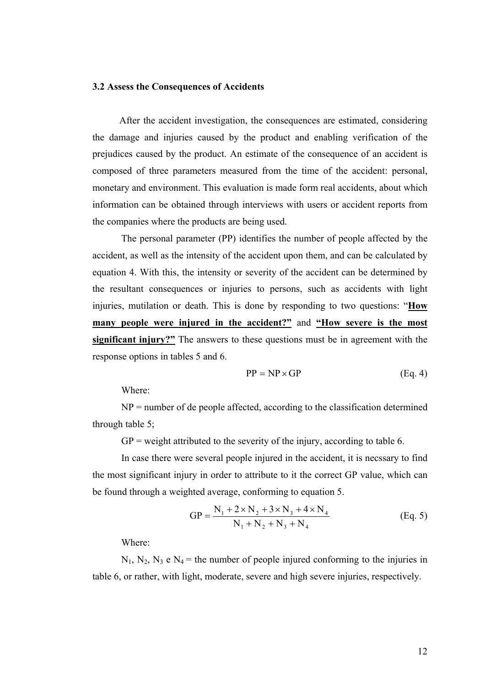#### **3.2 Assess the Consequences of Accidents**

 After the accident investigation, the consequences are estimated, considering the damage and injuries caused by the product and enabling verification of the prejudices caused by the product. An estimate of the consequence of an accident is composed of three parameters measured from the time of the accident: personal, monetary and environment. This evaluation is made form real accidents, about which information can be obtained through interviews with users or accident reports from the companies where the products are being used.

The personal parameter (PP) identifies the number of people affected by the accident, as well as the intensity of the accident upon them, and can be calculated by equation 4. With this, the intensity or severity of the accident can be determined by the resultant consequences or injuries to persons, such as accidents with light injuries, mutilation or death. This is done by responding to two questions: "**How many people were injured in the accident?"** and **"How severe is the most significant injury?"** The answers to these questions must be in agreement with the response options in tables 5 and 6.

$$
PP = NP \times GP
$$
 (Eq. 4)

Where:

 $NP =$  number of de people affected, according to the classification determined through table 5;

 $GP$  = weight attributed to the severity of the injury, according to table 6.

In case there were several people injured in the accident, it is necssary to find the most significant injury in order to attribute to it the correct GP value, which can be found through a weighted average, conforming to equation 5.

$$
GP = \frac{N_1 + 2 \times N_2 + 3 \times N_3 + 4 \times N_4}{N_1 + N_2 + N_3 + N_4}
$$
 (Eq. 5)

Where:

 $N_1$ ,  $N_2$ ,  $N_3$  e  $N_4$  = the number of people injured conforming to the injuries in table 6, or rather, with light, moderate, severe and high severe injuries, respectively.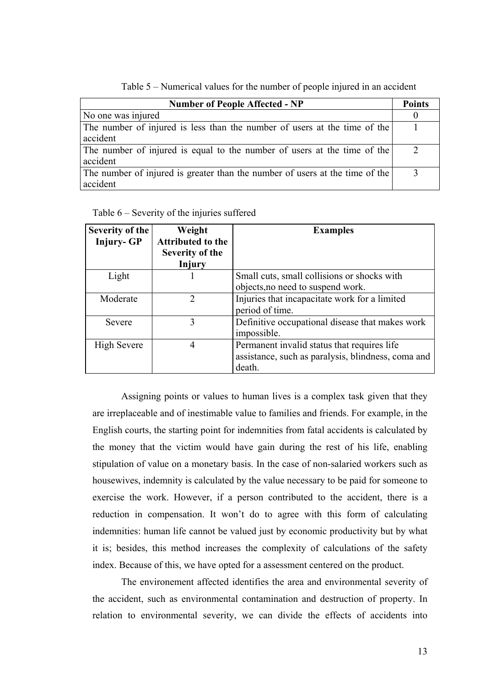| <b>Number of People Affected - NP</b>                                        | <b>Points</b> |
|------------------------------------------------------------------------------|---------------|
| No one was injured                                                           |               |
| The number of injured is less than the number of users at the time of the    |               |
| accident                                                                     |               |
| The number of injured is equal to the number of users at the time of the     |               |
| accident                                                                     |               |
| The number of injured is greater than the number of users at the time of the |               |
| accident                                                                     |               |

Table 5 – Numerical values for the number of people injured in an accident

|  |  |  |  | Table $6$ – Severity of the injuries suffered |  |
|--|--|--|--|-----------------------------------------------|--|
|  |  |  |  |                                               |  |

| Severity of the<br><b>Injury-GP</b> | Weight<br><b>Attributed to the</b><br>Severity of the<br>Injury | <b>Examples</b>                                                                                             |
|-------------------------------------|-----------------------------------------------------------------|-------------------------------------------------------------------------------------------------------------|
| Light                               |                                                                 | Small cuts, small collisions or shocks with<br>objects, no need to suspend work.                            |
| Moderate                            | $\mathcal{D}_{\mathcal{A}}$                                     | Injuries that incapacitate work for a limited<br>period of time.                                            |
| Severe                              | 3                                                               | Definitive occupational disease that makes work<br>impossible.                                              |
| <b>High Severe</b>                  | 4                                                               | Permanent invalid status that requires life<br>assistance, such as paralysis, blindness, coma and<br>death. |

Assigning points or values to human lives is a complex task given that they are irreplaceable and of inestimable value to families and friends. For example, in the English courts, the starting point for indemnities from fatal accidents is calculated by the money that the victim would have gain during the rest of his life, enabling stipulation of value on a monetary basis. In the case of non-salaried workers such as housewives, indemnity is calculated by the value necessary to be paid for someone to exercise the work. However, if a person contributed to the accident, there is a reduction in compensation. It won't do to agree with this form of calculating indemnities: human life cannot be valued just by economic productivity but by what it is; besides, this method increases the complexity of calculations of the safety index. Because of this, we have opted for a assessment centered on the product.

The environement affected identifies the area and environmental severity of the accident, such as environmental contamination and destruction of property. In relation to environmental severity, we can divide the effects of accidents into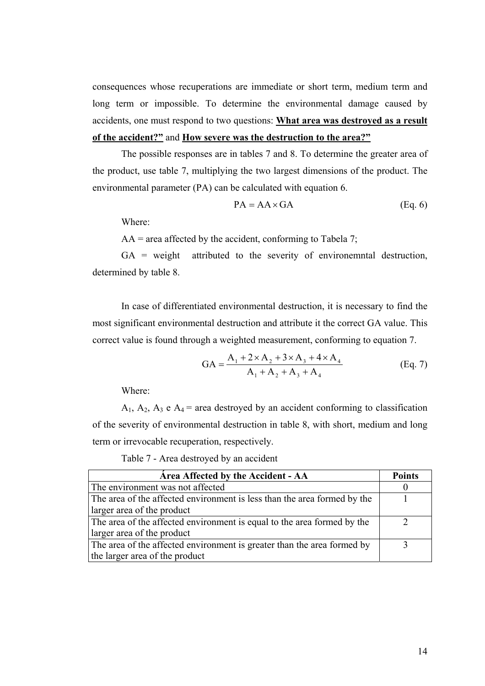consequences whose recuperations are immediate or short term, medium term and long term or impossible. To determine the environmental damage caused by accidents, one must respond to two questions: **What area was destroyed as a result of the accident?"** and **How severe was the destruction to the area?"**

The possible responses are in tables 7 and 8. To determine the greater area of the product, use table 7, multiplying the two largest dimensions of the product. The environmental parameter (PA) can be calculated with equation 6.

$$
PA = AA \times GA \qquad (Eq. 6)
$$

Where:

 $AA$  = area affected by the accident, conforming to Tabela 7;

 $GA$  = weight attributed to the severity of environemntal destruction, determined by table 8.

In case of differentiated environmental destruction, it is necessary to find the most significant environmental destruction and attribute it the correct GA value. This correct value is found through a weighted measurement, conforming to equation 7.

$$
GA = \frac{A_1 + 2 \times A_2 + 3 \times A_3 + 4 \times A_4}{A_1 + A_2 + A_3 + A_4}
$$
 (Eq. 7)

Where:

 $A_1$ ,  $A_2$ ,  $A_3$  e  $A_4$  = area destroyed by an accident conforming to classification of the severity of environmental destruction in table 8, with short, medium and long term or irrevocable recuperation, respectively.

Table 7 - Area destroyed by an accident

| <b>Area Affected by the Accident - AA</b>                                | <b>Points</b> |
|--------------------------------------------------------------------------|---------------|
| The environment was not affected                                         |               |
| The area of the affected environment is less than the area formed by the |               |
| larger area of the product                                               |               |
| The area of the affected environment is equal to the area formed by the  |               |
| larger area of the product                                               |               |
| The area of the affected environment is greater than the area formed by  |               |
| the larger area of the product                                           |               |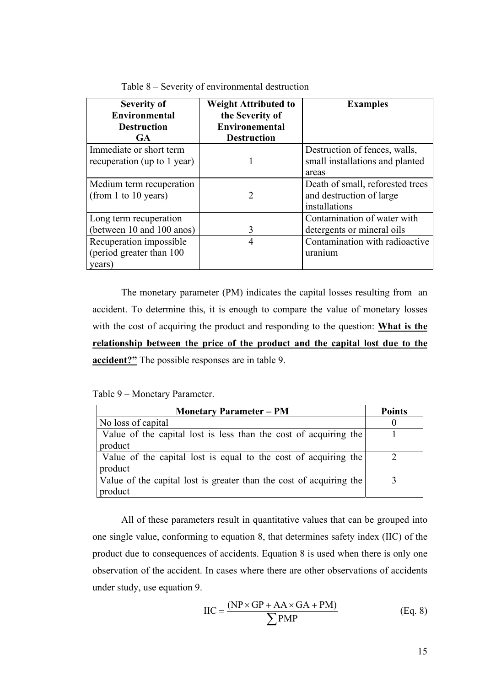| <b>Severity of</b><br><b>Environmental</b><br><b>Destruction</b> | <b>Weight Attributed to</b><br>the Severity of<br><b>Environemental</b> | <b>Examples</b>                  |
|------------------------------------------------------------------|-------------------------------------------------------------------------|----------------------------------|
| <b>GA</b>                                                        | <b>Destruction</b>                                                      |                                  |
| Immediate or short term                                          |                                                                         | Destruction of fences, walls,    |
| recuperation (up to 1 year)                                      |                                                                         | small installations and planted  |
|                                                                  |                                                                         | areas                            |
| Medium term recuperation                                         |                                                                         | Death of small, reforested trees |
| (from 1 to 10 years)                                             |                                                                         | and destruction of large         |
|                                                                  |                                                                         | installations                    |
| Long term recuperation                                           |                                                                         | Contamination of water with      |
| (between 10 and 100 anos)                                        | 3                                                                       | detergents or mineral oils       |
| Recuperation impossible                                          | 4                                                                       | Contamination with radioactive   |
| (period greater than 100)                                        |                                                                         | uranium                          |
| years)                                                           |                                                                         |                                  |

| Table $8$ – Severity of environmental destruction |  |  |  |  |  |
|---------------------------------------------------|--|--|--|--|--|
|---------------------------------------------------|--|--|--|--|--|

The monetary parameter (PM) indicates the capital losses resulting from an accident. To determine this, it is enough to compare the value of monetary losses with the cost of acquiring the product and responding to the question: **What is the relationship between the price of the product and the capital lost due to the accident?"** The possible responses are in table 9.

Table 9 – Monetary Parameter.

| <b>Monetary Parameter – PM</b>                                      | <b>Points</b> |
|---------------------------------------------------------------------|---------------|
| No loss of capital                                                  |               |
| Value of the capital lost is less than the cost of acquiring the    |               |
| product                                                             |               |
| Value of the capital lost is equal to the cost of acquiring the     |               |
| product                                                             |               |
| Value of the capital lost is greater than the cost of acquiring the |               |
| product                                                             |               |

All of these parameters result in quantitative values that can be grouped into one single value, conforming to equation 8, that determines safety index (IIC) of the product due to consequences of accidents. Equation 8 is used when there is only one observation of the accident. In cases where there are other observations of accidents under study, use equation 9.

$$
HC = \frac{(NP \times GP + AA \times GA + PM)}{\sum PMP}
$$
 (Eq. 8)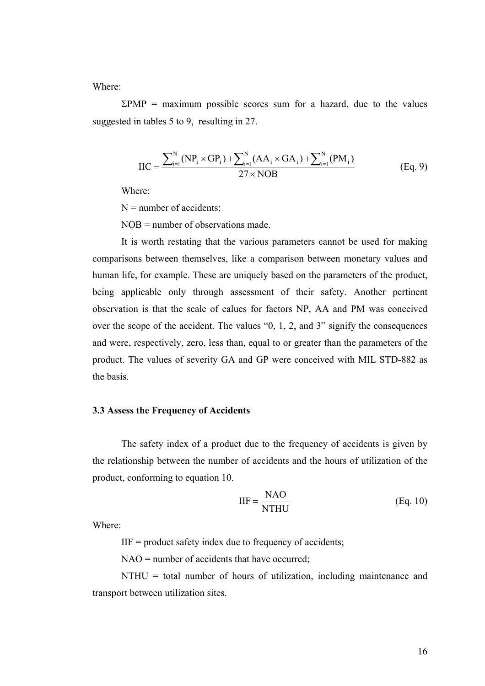Where:

 $\Sigma PMP$  = maximum possible scores sum for a hazard, due to the values suggested in tables 5 to 9, resulting in 27.

$$
IIC = \frac{\sum_{i=1}^{N} (NP_i \times GP_i) + \sum_{i=1}^{N} (AA_i \times GA_i) + \sum_{i=1}^{N} (PM_i)}{27 \times NOB}
$$
(Eq. 9)

Where:

 $N =$  number of accidents;

NOB = number of observations made.

It is worth restating that the various parameters cannot be used for making comparisons between themselves, like a comparison between monetary values and human life, for example. These are uniquely based on the parameters of the product, being applicable only through assessment of their safety. Another pertinent observation is that the scale of calues for factors NP, AA and PM was conceived over the scope of the accident. The values "0, 1, 2, and 3" signify the consequences and were, respectively, zero, less than, equal to or greater than the parameters of the product. The values of severity GA and GP were conceived with MIL STD-882 as the basis.

#### **3.3 Assess the Frequency of Accidents**

The safety index of a product due to the frequency of accidents is given by the relationship between the number of accidents and the hours of utilization of the product, conforming to equation 10.

$$
IIF = \frac{NAO}{NTHU}
$$
 (Eq. 10)

Where:

 $IIF = product safety index due to frequency of accidents;$ 

NAO = number of accidents that have occurred;

NTHU = total number of hours of utilization, including maintenance and transport between utilization sites.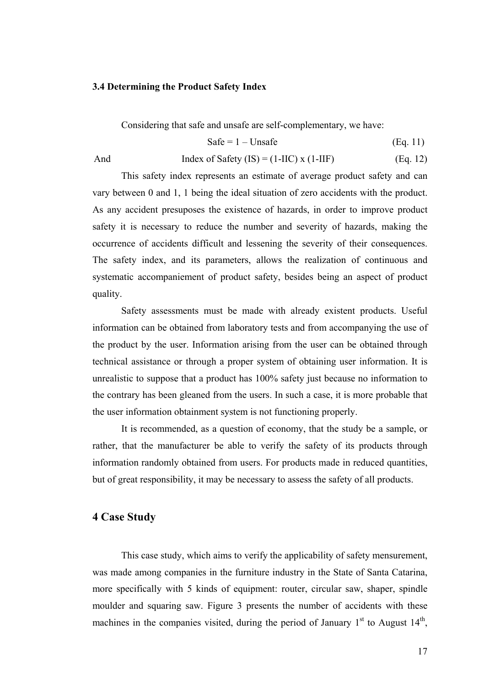#### **3.4 Determining the Product Safety Index**

Considering that safe and unsafe are self-complementary, we have:

$$
Safe = 1 - Unsafe
$$
 (Eq. 11)

And Index of Safety (IS) = (1-IIC) x (1-IIF) (Eq. 12)

This safety index represents an estimate of average product safety and can vary between 0 and 1, 1 being the ideal situation of zero accidents with the product. As any accident presuposes the existence of hazards, in order to improve product safety it is necessary to reduce the number and severity of hazards, making the occurrence of accidents difficult and lessening the severity of their consequences. The safety index, and its parameters, allows the realization of continuous and systematic accompaniement of product safety, besides being an aspect of product quality.

Safety assessments must be made with already existent products. Useful information can be obtained from laboratory tests and from accompanying the use of the product by the user. Information arising from the user can be obtained through technical assistance or through a proper system of obtaining user information. It is unrealistic to suppose that a product has 100% safety just because no information to the contrary has been gleaned from the users. In such a case, it is more probable that the user information obtainment system is not functioning properly.

It is recommended, as a question of economy, that the study be a sample, or rather, that the manufacturer be able to verify the safety of its products through information randomly obtained from users. For products made in reduced quantities, but of great responsibility, it may be necessary to assess the safety of all products.

### **4 Case Study**

This case study, which aims to verify the applicability of safety mensurement, was made among companies in the furniture industry in the State of Santa Catarina, more specifically with 5 kinds of equipment: router, circular saw, shaper, spindle moulder and squaring saw. Figure 3 presents the number of accidents with these machines in the companies visited, during the period of January  $1<sup>st</sup>$  to August  $14<sup>th</sup>$ ,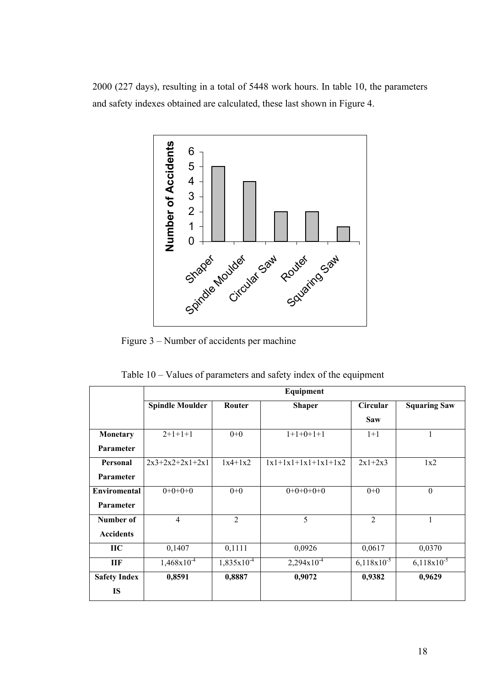2000 (227 days), resulting in a total of 5448 work hours. In table 10, the parameters and safety indexes obtained are calculated, these last shown in Figure 4.



Figure 3 – Number of accidents per machine

Table 10 – Values of parameters and safety index of the equipment

|                     | Equipment              |                 |                       |                 |                     |  |  |
|---------------------|------------------------|-----------------|-----------------------|-----------------|---------------------|--|--|
|                     | <b>Spindle Moulder</b> | <b>Router</b>   | <b>Shaper</b>         | <b>Circular</b> | <b>Squaring Saw</b> |  |  |
|                     |                        |                 |                       | <b>Saw</b>      |                     |  |  |
| Monetary            | $2+1+1+1$              | $0 + 0$         | $1+1+0+1+1$           | $1+1$           |                     |  |  |
| Parameter           |                        |                 |                       |                 |                     |  |  |
| Personal            | $2x3+2x2+2x1+2x1$      | $1x4+1x2$       | $1x1+1x1+1x1+1x1+1x2$ | $2x1+2x3$       | 1x2                 |  |  |
| Parameter           |                        |                 |                       |                 |                     |  |  |
| <b>Enviromental</b> | $0+0+0+0$              | $0 + 0$         | $0+0+0+0+0$           | $0 + 0$         | $\theta$            |  |  |
| Parameter           |                        |                 |                       |                 |                     |  |  |
| Number of           | $\overline{4}$         | $\overline{2}$  | 5                     | $\overline{2}$  | $\mathbf{1}$        |  |  |
| <b>Accidents</b>    |                        |                 |                       |                 |                     |  |  |
| <b>IIC</b>          | 0,1407                 | 0,1111          | 0,0926                | 0,0617          | 0,0370              |  |  |
| IIF                 | $1,468\times10^{-4}$   | $1,835x10^{-4}$ | $2,294x10^{-4}$       | $6,118x10^{-5}$ | $6,118x10^{-5}$     |  |  |
| <b>Safety Index</b> | 0,8591                 | 0,8887          | 0,9072                | 0,9382          | 0,9629              |  |  |
| <b>IS</b>           |                        |                 |                       |                 |                     |  |  |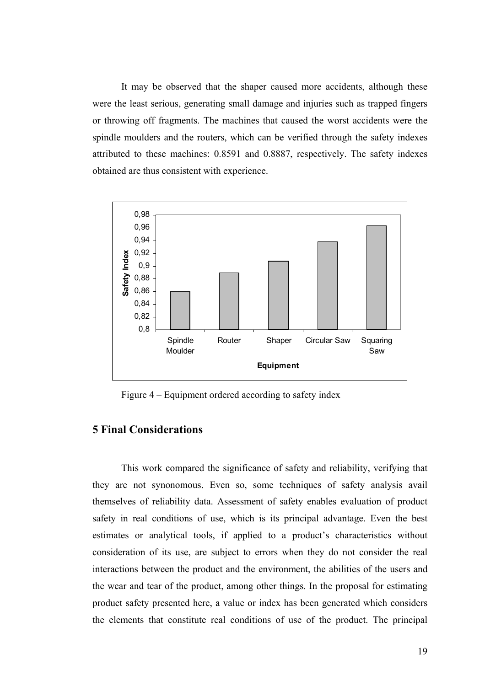It may be observed that the shaper caused more accidents, although these were the least serious, generating small damage and injuries such as trapped fingers or throwing off fragments. The machines that caused the worst accidents were the spindle moulders and the routers, which can be verified through the safety indexes attributed to these machines: 0.8591 and 0.8887, respectively. The safety indexes obtained are thus consistent with experience.



Figure 4 – Equipment ordered according to safety index

### **5 Final Considerations**

This work compared the significance of safety and reliability, verifying that they are not synonomous. Even so, some techniques of safety analysis avail themselves of reliability data. Assessment of safety enables evaluation of product safety in real conditions of use, which is its principal advantage. Even the best estimates or analytical tools, if applied to a product's characteristics without consideration of its use, are subject to errors when they do not consider the real interactions between the product and the environment, the abilities of the users and the wear and tear of the product, among other things. In the proposal for estimating product safety presented here, a value or index has been generated which considers the elements that constitute real conditions of use of the product. The principal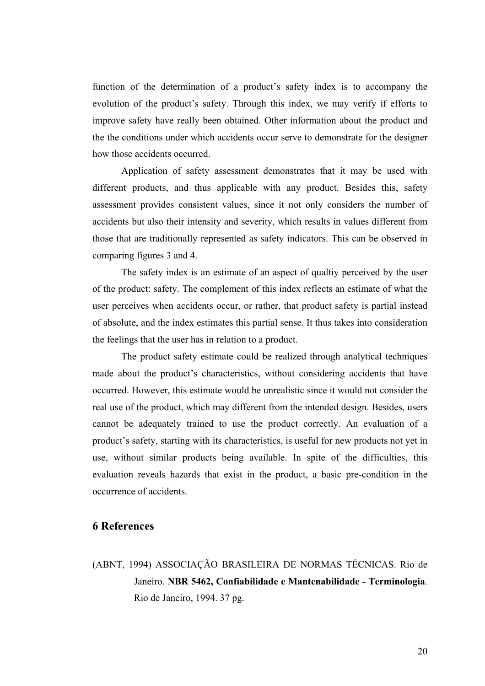function of the determination of a product's safety index is to accompany the evolution of the product's safety. Through this index, we may verify if efforts to improve safety have really been obtained. Other information about the product and the the conditions under which accidents occur serve to demonstrate for the designer how those accidents occurred.

Application of safety assessment demonstrates that it may be used with different products, and thus applicable with any product. Besides this, safety assessment provides consistent values, since it not only considers the number of accidents but also their intensity and severity, which results in values different from those that are traditionally represented as safety indicators. This can be observed in comparing figures 3 and 4.

The safety index is an estimate of an aspect of qualtiy perceived by the user of the product: safety. The complement of this index reflects an estimate of what the user perceives when accidents occur, or rather, that product safety is partial instead of absolute, and the index estimates this partial sense. It thus takes into consideration the feelings that the user has in relation to a product.

The product safety estimate could be realized through analytical techniques made about the product's characteristics, without considering accidents that have occurred. However, this estimate would be unrealistic since it would not consider the real use of the product, which may different from the intended design. Besides, users cannot be adequately trained to use the product correctly. An evaluation of a product's safety, starting with its characteristics, is useful for new products not yet in use, without similar products being available. In spite of the difficulties, this evaluation reveals hazards that exist in the product, a basic pre-condition in the occurrence of accidents.

### **6 References**

(ABNT, 1994) ASSOCIAÇÃO BRASILEIRA DE NORMAS TÉCNICAS. Rio de Janeiro. **NBR 5462, Confiabilidade e Mantenabilidade - Terminologia**. Rio de Janeiro, 1994. 37 pg.